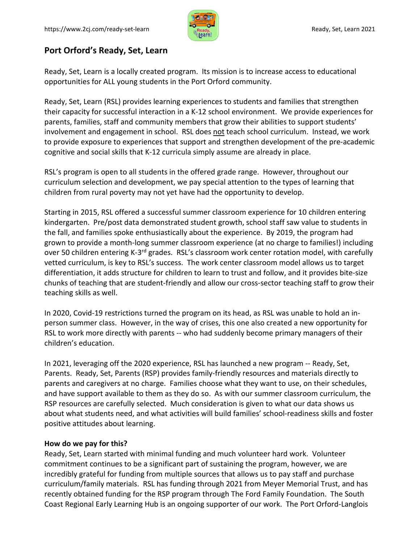

## **Port Orford's Ready, Set, Learn**

Ready, Set, Learn is a locally created program. Its mission is to increase access to educational opportunities for ALL young students in the Port Orford community.

Ready, Set, Learn (RSL) provides learning experiences to students and families that strengthen their capacity for successful interaction in a K-12 school environment. We provide experiences for parents, families, staff and community members that grow their abilities to support students' involvement and engagement in school. RSL does not teach school curriculum. Instead, we work to provide exposure to experiences that support and strengthen development of the pre-academic cognitive and social skills that K-12 curricula simply assume are already in place.

RSL's program is open to all students in the offered grade range. However, throughout our curriculum selection and development, we pay special attention to the types of learning that children from rural poverty may not yet have had the opportunity to develop.

Starting in 2015, RSL offered a successful summer classroom experience for 10 children entering kindergarten. Pre/post data demonstrated student growth, school staff saw value to students in the fall, and families spoke enthusiastically about the experience. By 2019, the program had grown to provide a month-long summer classroom experience (at no charge to families!) including over 50 children entering K-3<sup>rd</sup> grades. RSL's classroom work center rotation model, with carefully vetted curriculum, is key to RSL's success. The work center classroom model allows us to target differentiation, it adds structure for children to learn to trust and follow, and it provides bite-size chunks of teaching that are student-friendly and allow our cross-sector teaching staff to grow their teaching skills as well.

In 2020, Covid-19 restrictions turned the program on its head, as RSL was unable to hold an inperson summer class. However, in the way of crises, this one also created a new opportunity for RSL to work more directly with parents -- who had suddenly become primary managers of their children's education.

In 2021, leveraging off the 2020 experience, RSL has launched a new program -- Ready, Set, Parents. Ready, Set, Parents (RSP) provides family-friendly resources and materials directly to parents and caregivers at no charge. Families choose what they want to use, on their schedules, and have support available to them as they do so. As with our summer classroom curriculum, the RSP resources are carefully selected. Much consideration is given to what our data shows us about what students need, and what activities will build families' school-readiness skills and foster positive attitudes about learning.

## **How do we pay for this?**

Ready, Set, Learn started with minimal funding and much volunteer hard work. Volunteer commitment continues to be a significant part of sustaining the program, however, we are incredibly grateful for funding from multiple sources that allows us to pay staff and purchase curriculum/family materials. RSL has funding through 2021 from Meyer Memorial Trust, and has recently obtained funding for the RSP program through The Ford Family Foundation. The South Coast Regional Early Learning Hub is an ongoing supporter of our work. The Port Orford-Langlois